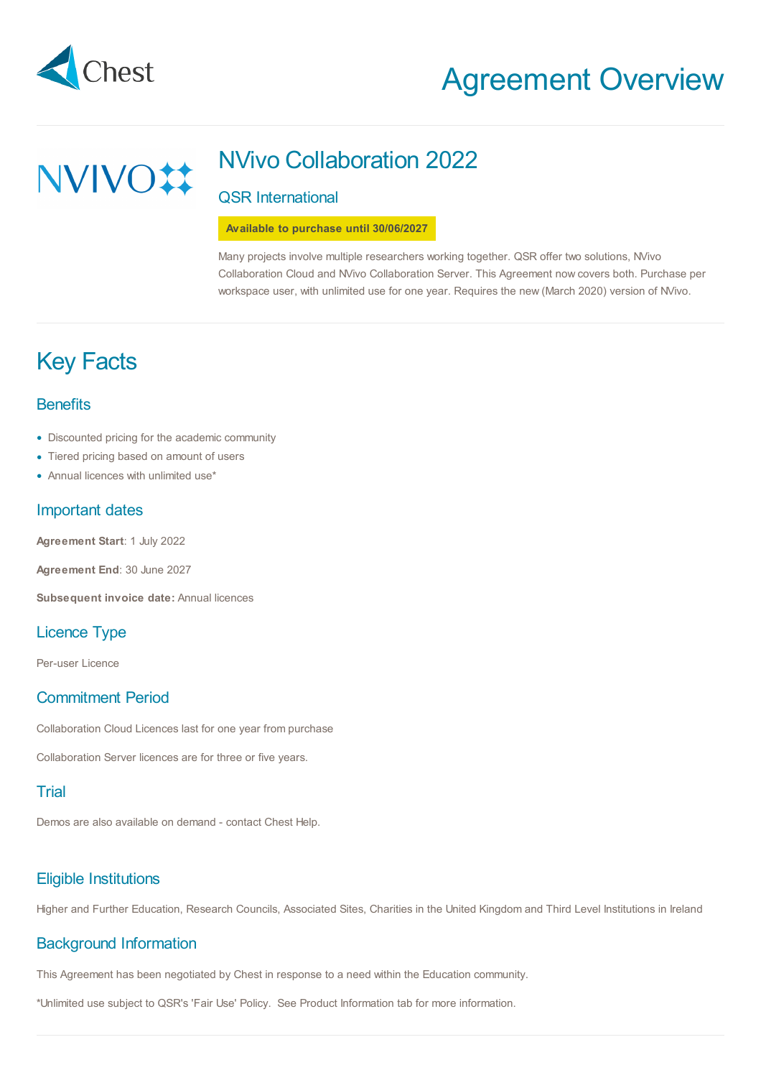

**NVIVO#** 

# Agreement Overview

## NVivo Collaboration 2022

## QSR International

**Available to purchase until 30/06/2027**

Many projects involve multiple researchers working together. QSR offer two solutions, NVivo Collaboration Cloud and NVivo Collaboration Server. This Agreement now covers both. Purchase per workspace user, with unlimited use for one year. Requires the new (March 2020) version of NVivo.

# Key Facts

## **Benefits**

- Discounted pricing for the academic community
- Tiered pricing based on amount of users •
- Annual licences with unlimited use\* •

## Important dates

**Agreement Start**: 1 July 2022

**Agreement End**: 30 June 2027

**Subsequent invoice date:** Annual licences

## Licence Type

Per-user Licence

## Commitment Period

Collaboration Cloud Licences last for one year from purchase

Collaboration Server licences are for three or five years.

## Trial

Demos are also available on demand - contact Chest Help.

## Eligible Institutions

Higher and Further Education, Research Councils, Associated Sites, Charities in the United Kingdom and Third Level Institutions in Ireland

## Background Information

This Agreement has been negotiated by Chest in response to a need within the Education community.

\*Unlimited use subject to QSR's 'Fair Use' Policy. See Product Information tab for more information.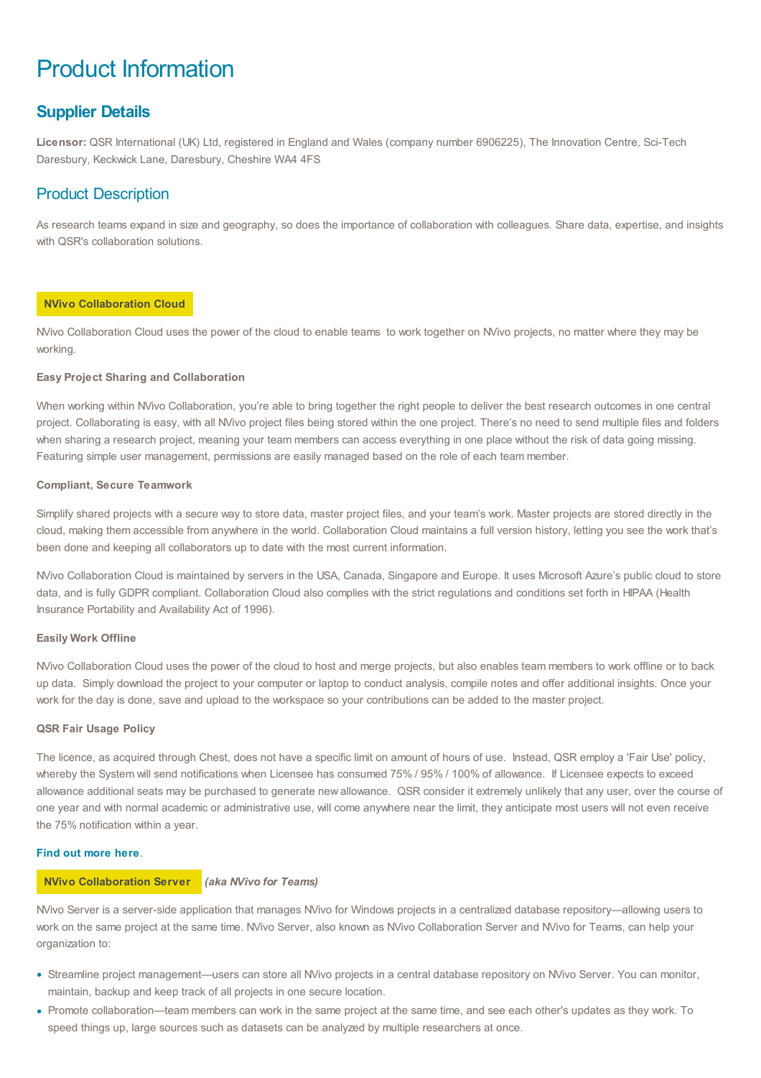# Product Information

## **Supplier Details**

**Licensor:** QSR International (UK) Ltd, registered in England and Wales (company number 6906225), The Innovation Centre, Sci-Tech Daresbury, Keckwick Lane, Daresbury, Cheshire WA4 4FS

## Product Description

As research teams expand in size and geography, so does the importance of collaboration with colleagues. Share data, expertise, and insights with QSR's collaboration solutions.

## **NVivo Collaboration Cloud**

NVivo Collaboration Cloud uses the power of the cloud to enable teams to work together on NVivo projects, no matter where they may be working.

### **Easy Project Sharing and Collaboration**

When working within NVivo Collaboration, you're able to bring together the right people to deliver the best research outcomes in one central project. Collaborating is easy, with all NVivo project files being stored within the one project. There's no need to send multiple files and folders when sharing a research project, meaning your team members can access everything in one place without the risk of data going missing. Featuring simple user management, permissions are easily managed based on the role of each team member.

### **Compliant, Secure Teamwork**

Simplify shared projects with a secure way to store data, master project files, and your team's work. Master projects are stored directly in the cloud, making them accessible from anywhere in the world. Collaboration Cloud maintains a full version history, letting you see the work that's been done and keeping all collaborators up to date with the most current information.

NVivo Collaboration Cloud is maintained by servers in the USA, Canada, Singapore and Europe. It uses Microsoft Azure's public cloud to store data, and is fully GDPR compliant. Collaboration Cloud also complies with the strict regulations and conditions set forth in HIPAA (Health Insurance Portability and Availability Act of 1996).

#### **Easily Work Offline**

NVivo Collaboration Cloud uses the power of the cloud to host and merge projects, but also enables team members to work offline or to back up data. Simply download the project to your computer or laptop to conduct analysis, compile notes and offer additional insights. Once your work for the day is done, save and upload to the workspace so your contributions can be added to the master project.

#### **QSR Fair Usage Policy**

The licence, as acquired through Chest, does not have a specific limit on amount of hours of use. Instead, QSR employ a 'Fair Use' policy, whereby the System will send notifications when Licensee has consumed 75% / 95% / 100% of allowance. If Licensee expects to exceed allowance additional seats may be purchased to generate new allowance. QSR consider it extremely unlikely that any user, over the course of one year and with normal academic or administrative use, will come anywhere near the limit, they anticipate most users will not even receive the 75% notification within a year.

## **Find out [more](https://www.qsrinternational.com/nvivo-qualitative-data-analysis-software/about/nvivo/modules/collaboration) here**.

### **NVivo Collaboration Server** *(aka NVivo for Teams)*

NVivo Server is a server-side application that manages NVivo for Windows projects in a centralized database repository—allowing users to work on the same project at the same time. NVivo Server, also known as NVivo Collaboration Server and NVivo for Teams, can help your organization to:

- Streamline project management—users can store all NVivo projects in a central database repository on NVivo Server. You can monitor, maintain, backup and keep track of all projects in one secure location.
- Promote collaboration—team members can work in the same project at the same time, and see each other's updates as they work. To speed things up, large sources such as datasets can be analyzed by multiple researchers at once.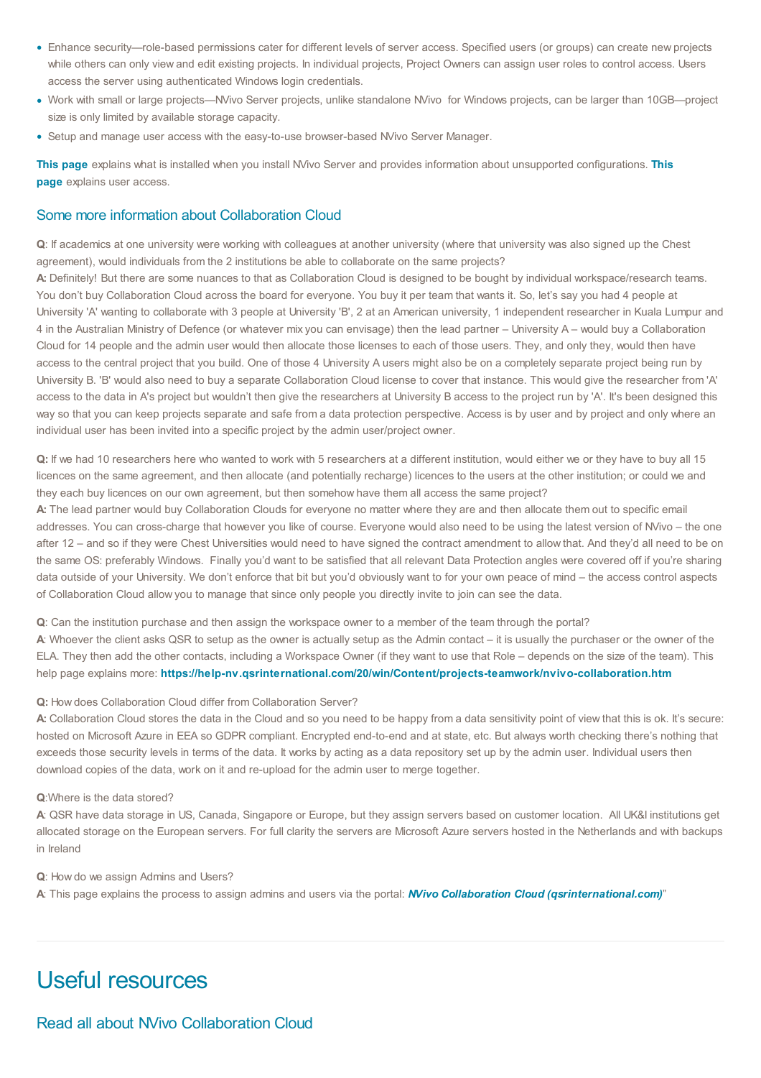- Enhance security—role-based permissions cater for different levels of server access. Specified users (or groups) can create new projects while others can only view and edit existing projects. In individual projects, Project Owners can assign user roles to control access. Users access the server using authenticated Windows login credentials.
- Work with small or large projects—NVivo Server projects, unlike standalone NVivo for Windows projects, can be larger than 10GB—project size is only limited by available storage capacity.
- Setup and manage user access with the easy-to-use browser-based NVivo Server Manager.

**This [page](http://techcenter.qsrinternational.com/desktop/ns11_R2/ns11_R2_before_you_install.htm)** explains what is installed when you install NVivo Server and provides information about unsupported [configurations.](http://techcenter.qsrinternational.com/desktop/ns11_R2/ns11_R2_understand_user_access.htm) **This page** explains user access.

## Some more information about Collaboration Cloud

**Q**: If academics at one university were working with colleagues at another university (where that university was also signed up the Chest agreement), would individuals from the 2 institutions be able to collaborate on the same projects?

**A:** Definitely! But there are some nuances to that as Collaboration Cloud is designed to be bought by individual workspace/research teams. You don't buy Collaboration Cloud across the board for everyone. You buy it per team that wants it. So, let's say you had 4 people at University 'A' wanting to collaborate with 3 people at University 'B', 2 at an American university, 1 independent researcher in Kuala Lumpur and 4 in the Australian Ministry of Defence (or whatever mix you can envisage) then the lead partner – University A – would buy a Collaboration Cloud for 14 people and the admin user would then allocate those licenses to each of those users. They, and only they, would then have access to the central project that you build. One of those 4 University A users might also be on a completely separate project being run by University B. 'B' would also need to buy a separate Collaboration Cloud license to cover that instance. This would give the researcher from 'A' access to the data in A's project but wouldn't then give the researchers at University B access to the project run by 'A'. It's been designed this way so that you can keep projects separate and safe from a data protection perspective. Access is by user and by project and only where an individual user has been invited into a specific project by the admin user/project owner.

**Q:** If we had 10 researchers here who wanted to work with 5 researchers at a different institution, would either we or they have to buy all 15 licences on the same agreement, and then allocate (and potentially recharge) licences to the users at the other institution; or could we and they each buy licences on our own agreement, but then somehow have them all access the same project?

**A:** The lead partner would buy Collaboration Clouds for everyone no matter where they are and then allocate them out to specific email addresses. You can cross-charge that however you like of course. Everyone would also need to be using the latest version of NVivo – the one after 12 – and so if they were Chest Universities would need to have signed the contract amendment to allow that. And they'd all need to be on the same OS: preferably Windows. Finally you'd want to be satisfied that all relevant Data Protection angles were covered off if you're sharing data outside of your University. We don't enforce that bit but you'd obviously want to for your own peace of mind – the access control aspects of Collaboration Cloud allow you to manage that since only people you directly invite to join can see the data.

**Q**: Can the institution purchase and then assign the workspace owner to a member of the team through the portal?

**A**: Whoever the client asks QSR to setup as the owner is actually setup as the Admin contact – it is usually the purchaser or the owner of the ELA. They then add the other contacts, including a Workspace Owner (if they want to use that Role – depends on the size of the team). This help page explains more: **<https://help-nv.qsrinternational.com/20/win/Content/projects-teamwork/nvivo-collaboration.htm>**

#### **Q:** How does Collaboration Cloud differ from Collaboration Server?

A: Collaboration Cloud stores the data in the Cloud and so you need to be happy from a data sensitivity point of view that this is ok. It's secure: hosted on Microsoft Azure in EEA so GDPR compliant. Encrypted end-to-end and at state, etc. But always worth checking there's nothing that exceeds those security levels in terms of the data. It works by acting as a data repository set up by the admin user. Individual users then download copies of the data, work on it and re-upload for the admin user to merge together.

#### **Q**:Where is the data stored?

**A**: QSR have data storage in US, Canada, Singapore or Europe, but they assign servers based on customer location. All UK&I institutions get allocated storage on the European servers. For full clarity the servers are Microsoft Azure servers hosted in the Netherlands and with backups in Ireland

**Q**: How do we assign Admins and Users?

**A**: This page explains the process to assign admins and users via the portal: *NVivo Collaboration Cloud [\(qsrinternational.com\)](https://help-nv.qsrinternational.com/20/win/Content/projects-teamwork/nvivo-collaboration.htm)*"

## Useful resources

Read all about NVivo Collaboration Cloud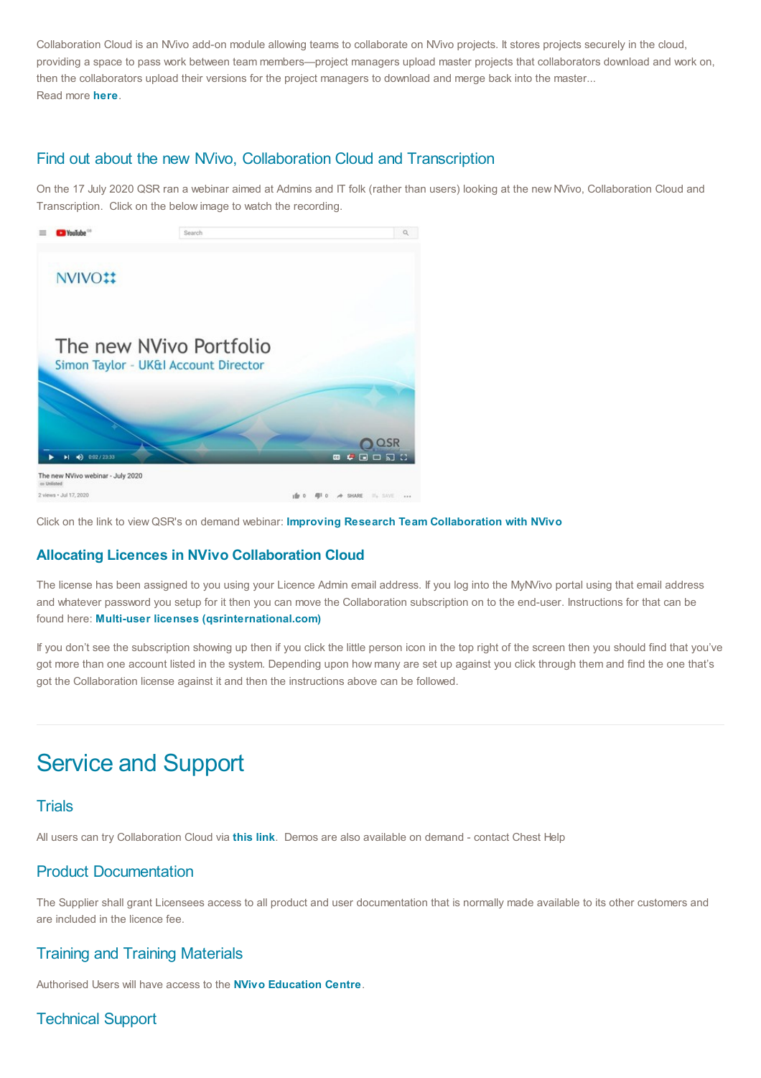Collaboration Cloud is an NVivo add-on module allowing teams to collaborate on NVivo projects. It stores projects securely in the cloud, providing a space to pass work between team members—project managers upload master projects that collaborators download and work on, then the collaborators upload their versions for the project managers to download and merge back into the master... Read more **[here](https://help-nv.qsrinternational.com/20/win/Content/projects-teamwork/nvivo-collaboration.htm)**.

## Find out about the new NVivo, Collaboration Cloud and Transcription

On the 17 July 2020 QSR ran a webinar aimed at Admins and IT folk (rather than users) looking at the new NVivo, Collaboration Cloud and Transcription. Click on the below image to watch the recording.



# 0 A SHARE  $\mathbb{Z}_2$  SAVE ...

Click on the link to viewQSR's on demand webinar: **Improving Research Team [Collaboration](https://go.nvivobyqsr.com/Team_Collaboration) with NVivo**

## **Allocating Licences in NVivo Collaboration Cloud**

The license has been assigned to you using your Licence Admin email address. If you log into the MyNVivo portal using that email address and whatever password you setup for it then you can move the Collaboration subscription on to the end-user. Instructions for that can be found here: **Multi-user licenses [\(qsrinternational.com\)](https://help-nv.qsrinternational.com/20/win/Content/about-nvivo/multiseat-license.htm)**

If you don't see the subscription showing up then if you click the little person icon in the top right of the screen then you should find that you've got more than one account listed in the system. Depending upon how many are set up against you click through them and find the one that's got the Collaboration license against it and then the instructions above can be followed.

# Service and Support

## **Trials**

All users can try Collaboration Cloud via **[this](https://www.qsrinternational.com/nvivo-qualitative-data-analysis-software/try-nvivo) link**. Demos are also available on demand - contact Chest Help

## Product Documentation

The Supplier shall grant Licensees access to all product and user documentation that is normally made available to its other customers and are included in the licence fee.

## Training and Training Materials

Authorised Users will have access to the **NVivo [Education](https://www.qsrinternational.com/nvivo-qualitative-data-analysis-software/support-services/customer-hub) Centre**.

## Technical Support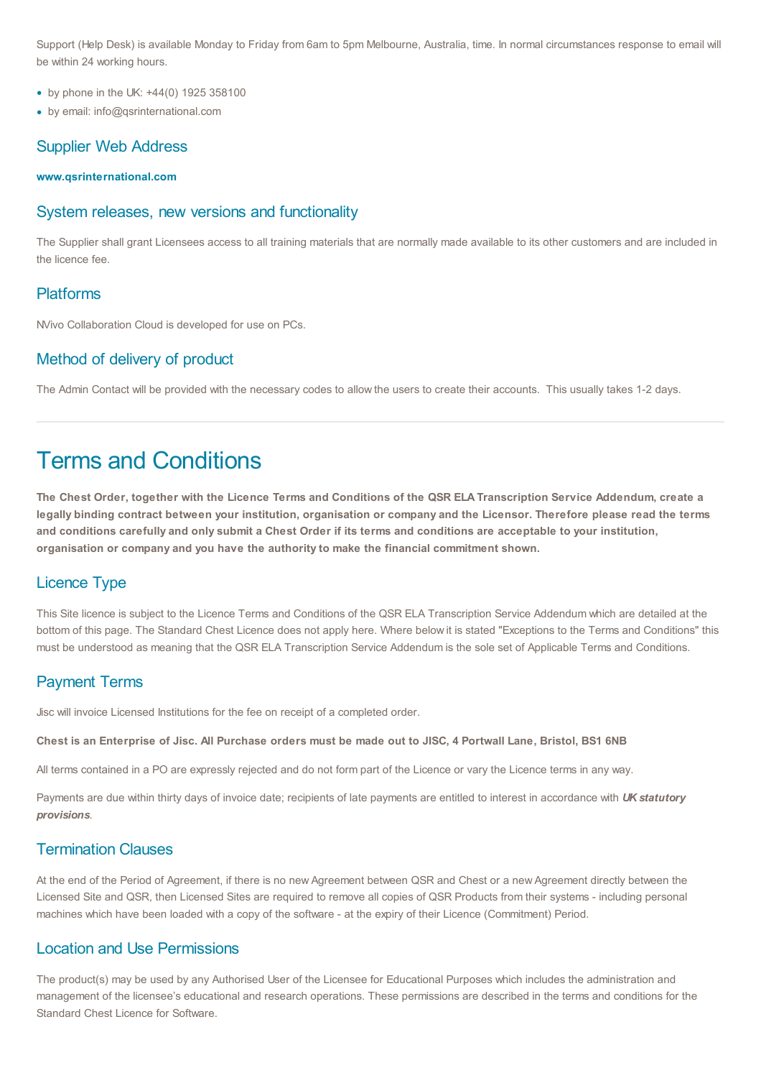Support (Help Desk) is available Monday to Friday from 6am to 5pm Melbourne, Australia, time. In normal circumstances response to email will be within 24 working hours.

- by phone in the UK: +44(0) 1925 358100
- by email: info@qsrinternational.com

## Supplier Web Address

**[www.qsrinternational.com](https://www.qsrinternational.com/nvivo/home?utm_source=Chest&utm_medium=Chest%20website&utm_campaign=EMEA%20April2018%20Chest&utm_term=-&utm_content=-)**

## System releases, new versions and functionality

The Supplier shall grant Licensees access to all training materials that are normally made available to its other customers and are included in the licence fee.

## Platforms

NVivo Collaboration Cloud is developed for use on PCs.

## Method of delivery of product

The Admin Contact will be provided with the necessary codes to allow the users to create their accounts. This usually takes 1-2 days.

# Terms and Conditions

The Chest Order, together with the Licence Terms and Conditions of the QSR ELA Transcription Service Addendum, create a legally binding contract between your institution, organisation or company and the Licensor. Therefore please read the terms and conditions carefully and only submit a Chest Order if its terms and conditions are acceptable to your institution, **organisation or company and you have the authority to make the financial commitment shown.**

## Licence Type

This Site licence is subject to the Licence Terms and Conditions of the QSR ELA Transcription Service Addendum which are detailed at the bottom of this page. The Standard Chest Licence does not apply here. Where below it is stated "Exceptions to the Terms and Conditions" this must be understood as meaning that the QSR ELA Transcription Service Addendum is the sole set of Applicable Terms and Conditions.

## Payment Terms

Jisc will invoice Licensed Institutions for the fee on receipt of a completed order.

### Chest is an Enterprise of Jisc. All Purchase orders must be made out to JISC, 4 Portwall Lane, Bristol, BS1 6NB

All terms contained in a PO are expressly rejected and do not form part of the Licence or vary the Licence terms in any way.

Payments are due within thirty days of invoice date; recipients of late payments are entitled to interest in accordance with *UK statutory provisions*.

## Termination Clauses

At the end of the Period of Agreement, if there is no new Agreement between QSR and Chest or a new Agreement directly between the Licensed Site and QSR, then Licensed Sites are required to remove all copies of QSR Products from their systems - including personal machines which have been loaded with a copy of the software - at the expiry of their Licence (Commitment) Period.

## Location and Use Permissions

The product(s) may be used by any Authorised User of the Licensee for Educational Purposes which includes the administration and management of the licensee's educational and research operations. These permissions are described in the terms and conditions for the Standard Chest Licence for Software.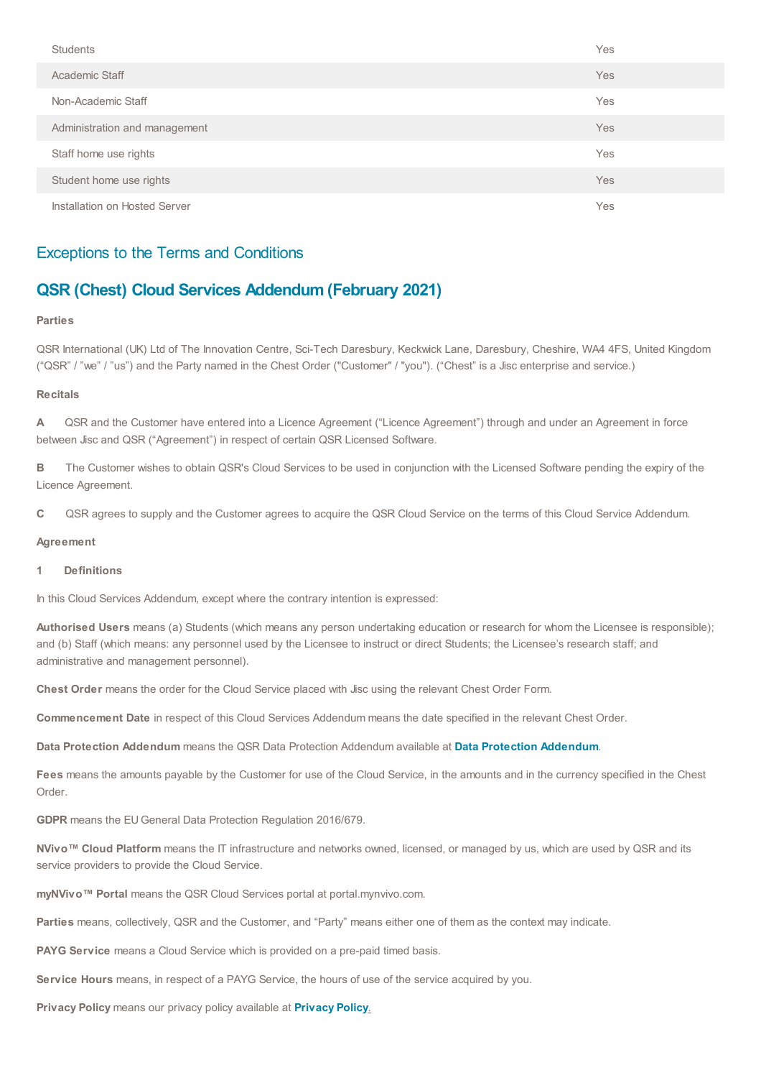| <b>Students</b>               | Yes |
|-------------------------------|-----|
| Academic Staff                | Yes |
| Non-Academic Staff            | Yes |
| Administration and management | Yes |
| Staff home use rights         | Yes |
| Student home use rights       | Yes |
| Installation on Hosted Server | Yes |

## Exceptions to the Terms and Conditions

## **QSR (Chest) Cloud Services Addendum (February 2021)**

#### **Parties**

QSR International (UK) Ltd of The Innovation Centre, Sci-Tech Daresbury, Keckwick Lane, Daresbury, Cheshire, WA4 4FS, United Kingdom ("QSR" / "we" / "us") and the Party named in the Chest Order ("Customer" / "you"). ("Chest" is a Jisc enterprise and service.)

#### **Recitals**

**A** QSR and the Customer have entered into a Licence Agreement ("Licence Agreement") through and under an Agreement in force between Jisc and QSR ("Agreement") in respect of certain QSR Licensed Software.

**B** The Customer wishes to obtain QSR's Cloud Services to be used in conjunction with the Licensed Software pending the expiry of the Licence Agreement.

**C** QSR agrees to supply and the Customer agrees to acquire the QSR Cloud Service on the terms of this Cloud Service Addendum.

### **Agreement**

### **1 Definitions**

In this Cloud Services Addendum, except where the contrary intention is expressed:

**Authorised Users** means (a) Students (which means any person undertaking education or research for whom the Licensee is responsible); and (b) Staff (which means: any personnel used by the Licensee to instruct or direct Students; the Licensee's research staff; and administrative and management personnel).

**Chest Order** means the order for the Cloud Service placed with Jisc using the relevant Chest Order Form.

**Commencement Date** in respect of this Cloud Services Addendum means the date specified in the relevant Chest Order.

**Data Protection Addendum** means the QSR Data Protection Addendum available at **Data Protection [Addendum](https://www.qsrinternational.com/legal-and-compliance/Data-Protection-Addendum)**.

**Fees** means the amounts payable by the Customer for use of the Cloud Service, in the amounts and in the currency specified in the Chest Order.

**GDPR** means the EUGeneral Data Protection Regulation 2016/679.

**NVivo™ Cloud Platform** means the IT infrastructure and networks owned, licensed, or managed by us, which are used by QSR and its service providers to provide the Cloud Service.

**myNVivo™ Portal** means the QSR Cloud Services portal at portal.mynvivo.com.

**Parties** means, collectively, QSR and the Customer, and "Party" means either one of them as the context may indicate.

**PAYG Service** means a Cloud Service which is provided on a pre-paid timed basis.

**Service Hours** means, in respect of a PAYG Service, the hours of use of the service acquired by you.

**Privacy Policy** means our privacy policy available at **[Privacy](https://www.qsrinternational.com/legal-and-compliance/privacy-policy) Policy**.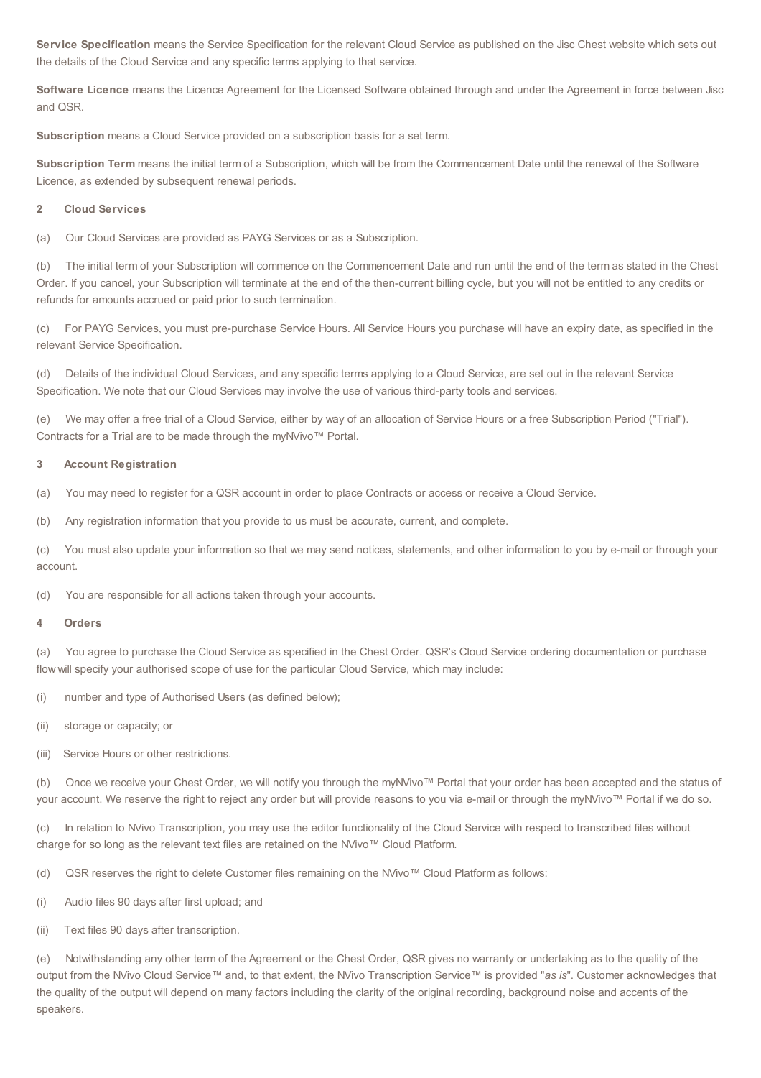**Service Specification** means the Service Specification for the relevant Cloud Service as published on the Jisc Chest website which sets out the details of the Cloud Service and any specific terms applying to that service.

**Software Licence** means the Licence Agreement for the Licensed Software obtained through and under the Agreement in force between Jisc and QSR.

**Subscription** means a Cloud Service provided on a subscription basis for a set term.

**Subscription Term** means the initial term of a Subscription, which will be from the Commencement Date until the renewal of the Software Licence, as extended by subsequent renewal periods.

#### **2 Cloud Services**

(a) Our Cloud Services are provided as PAYG Services or as a Subscription.

(b) The initial term of your Subscription will commence on the Commencement Date and run until the end of the term as stated in the Chest Order. If you cancel, your Subscription will terminate at the end of the then-current billing cycle, but you will not be entitled to any credits or refunds for amounts accrued or paid prior to such termination.

(c) For PAYG Services, you must pre-purchase Service Hours. All Service Hours you purchase will have an expiry date, as specified in the relevant Service Specification.

(d) Details of the individual Cloud Services, and any specific terms applying to a Cloud Service, are set out in the relevant Service Specification. We note that our Cloud Services may involve the use of various third-party tools and services.

(e) We may offer a free trial of a Cloud Service, either by way of an allocation of Service Hours or a free Subscription Period ("Trial"). Contracts for a Trial are to be made through the myNVivo™ Portal.

#### **3 Account Registration**

(a) You may need to register for a QSR account in order to place Contracts or access or receive a Cloud Service.

(b) Any registration information that you provide to us must be accurate, current, and complete.

(c) You must also update your information so that we may send notices, statements, and other information to you by e-mail or through your account.

(d) You are responsible for all actions taken through your accounts.

#### **4 Orders**

(a) You agree to purchase the Cloud Service as specified in the Chest Order. QSR's Cloud Service ordering documentation or purchase flow will specify your authorised scope of use for the particular Cloud Service, which may include:

(i) number and type of Authorised Users (as defined below);

(ii) storage or capacity; or

(iii) Service Hours or other restrictions.

(b) Once we receive your Chest Order, we will notify you through the myNVivo™ Portal that your order has been accepted and the status of your account. We reserve the right to reject any order but will provide reasons to you via e-mail or through the myNVivo™ Portal if we do so.

(c) In relation to NVivo Transcription, you may use the editor functionality of the Cloud Service with respect to transcribed files without charge for so long as the relevant text files are retained on the NVivo™ Cloud Platform.

(d) QSR reserves the right to delete Customer files remaining on the NVivo™ Cloud Platform as follows:

(i) Audio files 90 days after first upload; and

(ii) Text files 90 days after transcription.

(e) Notwithstanding any other term of the Agreement or the Chest Order, QSR gives no warranty or undertaking as to the quality of the output from the NVivo Cloud Service™ and, to that extent, the NVivo Transcription Service™ is provided "*as is*". Customer acknowledges that the quality of the output will depend on many factors including the clarity of the original recording, background noise and accents of the speakers.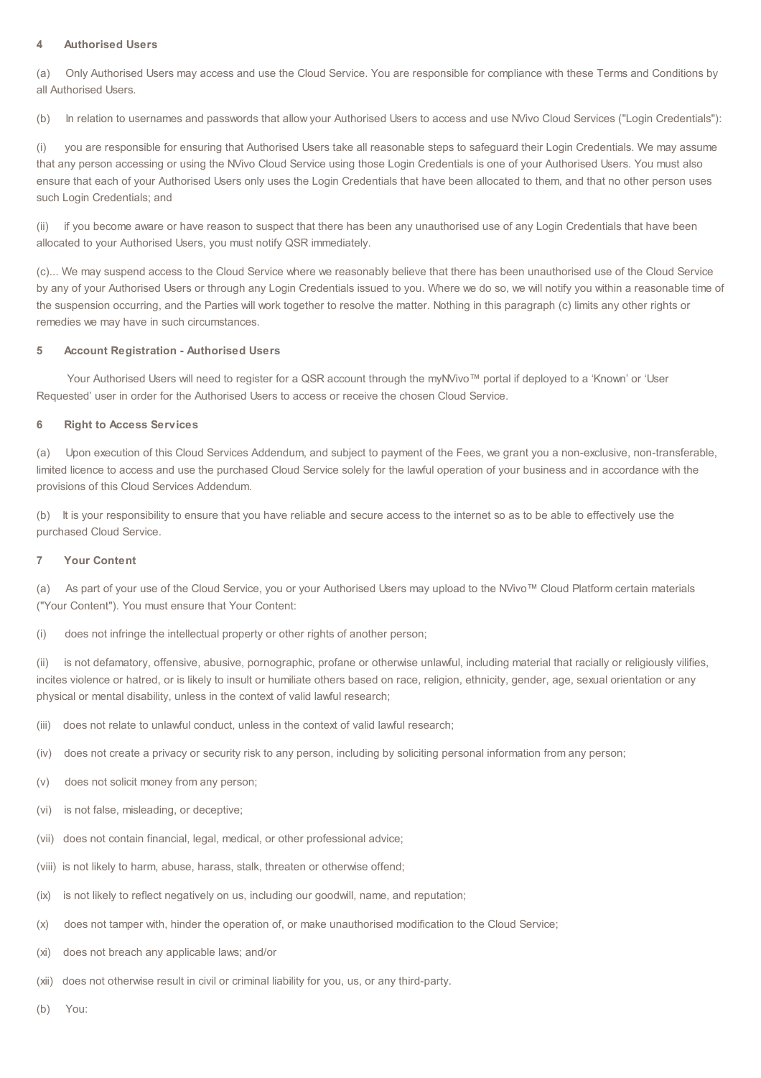## **4 Authorised Users**

(a) Only Authorised Users may access and use the Cloud Service. You are responsible for compliance with these Terms and Conditions by all Authorised Users.

(b) In relation to usernames and passwords that allow your Authorised Users to access and use NVivo Cloud Services ("Login Credentials"):

(i) you are responsible for ensuring that Authorised Users take all reasonable steps to safeguard their Login Credentials. We may assume that any person accessing or using the NVivo Cloud Service using those Login Credentials is one of your Authorised Users. You must also ensure that each of your Authorised Users only uses the Login Credentials that have been allocated to them, and that no other person uses such Login Credentials; and

(ii) if you become aware or have reason to suspect that there has been any unauthorised use of any Login Credentials that have been allocated to your Authorised Users, you must notify QSR immediately.

(c)... We may suspend access to the Cloud Service where we reasonably believe that there has been unauthorised use of the Cloud Service by any of your Authorised Users or through any Login Credentials issued to you. Where we do so, we will notify you within a reasonable time of the suspension occurring, and the Parties will work together to resolve the matter. Nothing in this paragraph (c) limits any other rights or remedies we may have in such circumstances.

### **5 Account Registration - Authorised Users**

Your Authorised Users will need to register for a QSR account through the myNVivo™ portal if deployed to a 'Known' or 'User Requested' user in order for the Authorised Users to access or receive the chosen Cloud Service.

### **6 Right to Access Services**

(a) Upon execution of this Cloud Services Addendum, and subject to payment of the Fees, we grant you a non-exclusive, non-transferable, limited licence to access and use the purchased Cloud Service solely for the lawful operation of your business and in accordance with the provisions of this Cloud Services Addendum.

(b) It is your responsibility to ensure that you have reliable and secure access to the internet so as to be able to effectively use the purchased Cloud Service.

#### **7 Your Content**

(a) As part of your use of the Cloud Service, you or your Authorised Users may upload to the NVivo™ Cloud Platform certain materials ("Your Content"). You must ensure that Your Content:

(i) does not infringe the intellectual property or other rights of another person;

(ii) is not defamatory, offensive, abusive, pornographic, profane or otherwise unlawful, including material that racially or religiously vilifies, incites violence or hatred, or is likely to insult or humiliate others based on race, religion, ethnicity, gender, age, sexual orientation or any physical or mental disability, unless in the context of valid lawful research;

- (iii) does not relate to unlawful conduct, unless in the context of valid lawful research;
- (iv) does not create a privacy or security risk to any person, including by soliciting personal information from any person;
- (v) does not solicit money from any person;
- (vi) is not false, misleading, or deceptive;
- (vii) does not contain financial, legal, medical, or other professional advice;
- (viii) is not likely to harm, abuse, harass, stalk, threaten or otherwise offend;
- (ix) is not likely to reflect negatively on us, including our goodwill, name, and reputation;
- (x) does not tamper with, hinder the operation of, or make unauthorised modification to the Cloud Service;
- (xi) does not breach any applicable laws; and/or
- (xii) does not otherwise result in civil or criminal liability for you, us, or any third-party.
- (b) You: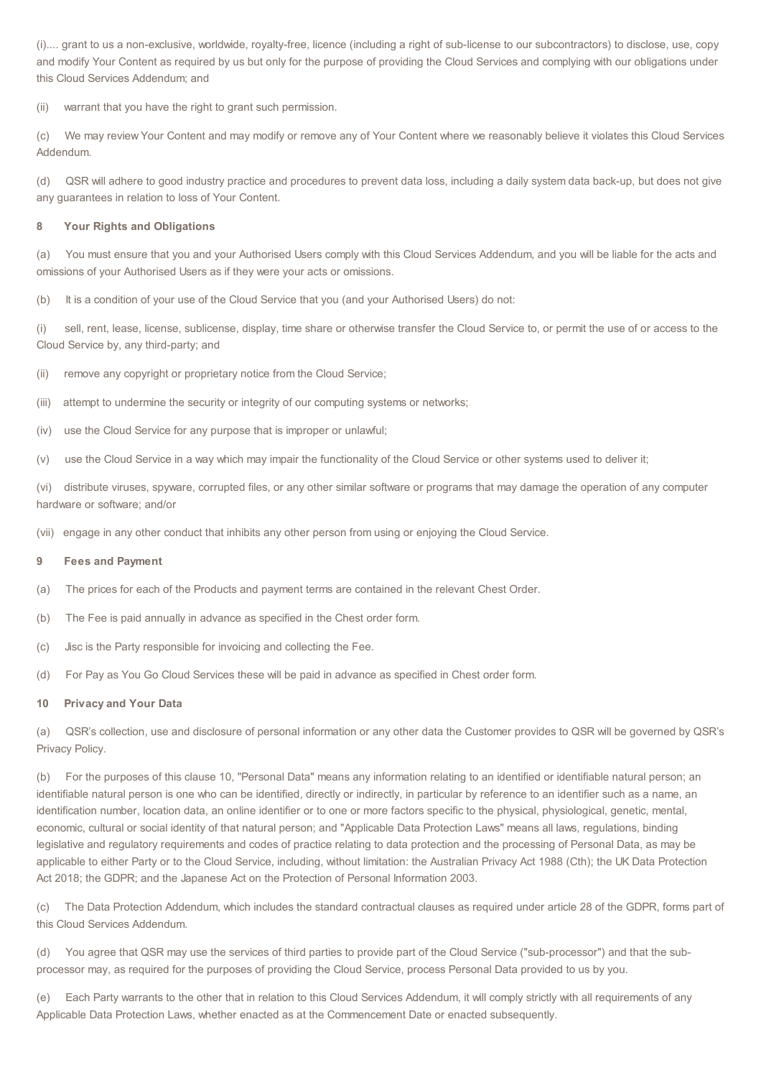(i).... grant to us a non-exclusive, worldwide, royalty-free, licence (including a right of sub-license to our subcontractors) to disclose, use, copy and modify Your Content as required by us but only for the purpose of providing the Cloud Services and complying with our obligations under this Cloud Services Addendum; and

(ii) warrant that you have the right to grant such permission.

(c) We may review Your Content and may modify or remove any of Your Content where we reasonably believe it violates this Cloud Services Addendum.

(d) QSR will adhere to good industry practice and procedures to prevent data loss, including a daily system data back-up, but does not give any guarantees in relation to loss of Your Content.

#### **8 Your Rights and Obligations**

(a) You must ensure that you and your Authorised Users comply with this Cloud Services Addendum, and you will be liable for the acts and omissions of your Authorised Users as if they were your acts or omissions.

(b) It is a condition of your use of the Cloud Service that you (and your Authorised Users) do not:

(i) sell, rent, lease, license, sublicense, display, time share or otherwise transfer the Cloud Service to, or permit the use of or access to the Cloud Service by, any third-party; and

(ii) remove any copyright or proprietary notice from the Cloud Service;

(iii) attempt to undermine the security or integrity of our computing systems or networks;

- (iv) use the Cloud Service for any purpose that is improper or unlawful;
- (v) use the Cloud Service in a way which may impair the functionality of the Cloud Service or other systems used to deliver it;

distribute viruses, spyware, corrupted files, or any other similar software or programs that may damage the operation of any computer hardware or software; and/or

(vii) engage in any other conduct that inhibits any other person from using or enjoying the Cloud Service.

#### **9 Fees and Payment**

- (a) The prices for each of the Products and payment terms are contained in the relevant Chest Order.
- (b) The Fee is paid annually in advance as specified in the Chest order form.
- (c) Jisc is the Party responsible for invoicing and collecting the Fee.
- (d) For Pay as You Go Cloud Services these will be paid in advance as specified in Chest order form.

#### **10 Privacy and Your Data**

(a) QSR's collection, use and disclosure of personal information or any other data the Customer provides to QSR will be governed by QSR's Privacy Policy.

(b) For the purposes of this clause 10, "Personal Data" means any information relating to an identified or identifiable natural person; an identifiable natural person is one who can be identified, directly or indirectly, in particular by reference to an identifier such as a name, an identification number, location data, an online identifier or to one or more factors specific to the physical, physiological, genetic, mental, economic, cultural or social identity of that natural person; and "Applicable Data Protection Laws" means all laws, regulations, binding legislative and regulatory requirements and codes of practice relating to data protection and the processing of Personal Data, as may be applicable to either Party or to the Cloud Service, including, without limitation: the Australian Privacy Act 1988 (Cth); the UK Data Protection Act 2018; the GDPR; and the Japanese Act on the Protection of Personal Information 2003.

(c) The Data Protection Addendum, which includes the standard contractual clauses as required under article 28 of the GDPR, forms part of this Cloud Services Addendum.

(d) You agree that QSR may use the services of third parties to provide part of the Cloud Service ("sub-processor") and that the subprocessor may, as required for the purposes of providing the Cloud Service, process Personal Data provided to us by you.

(e) Each Party warrants to the other that in relation to this Cloud Services Addendum, it will comply strictly with all requirements of any Applicable Data Protection Laws, whether enacted as at the Commencement Date or enacted subsequently.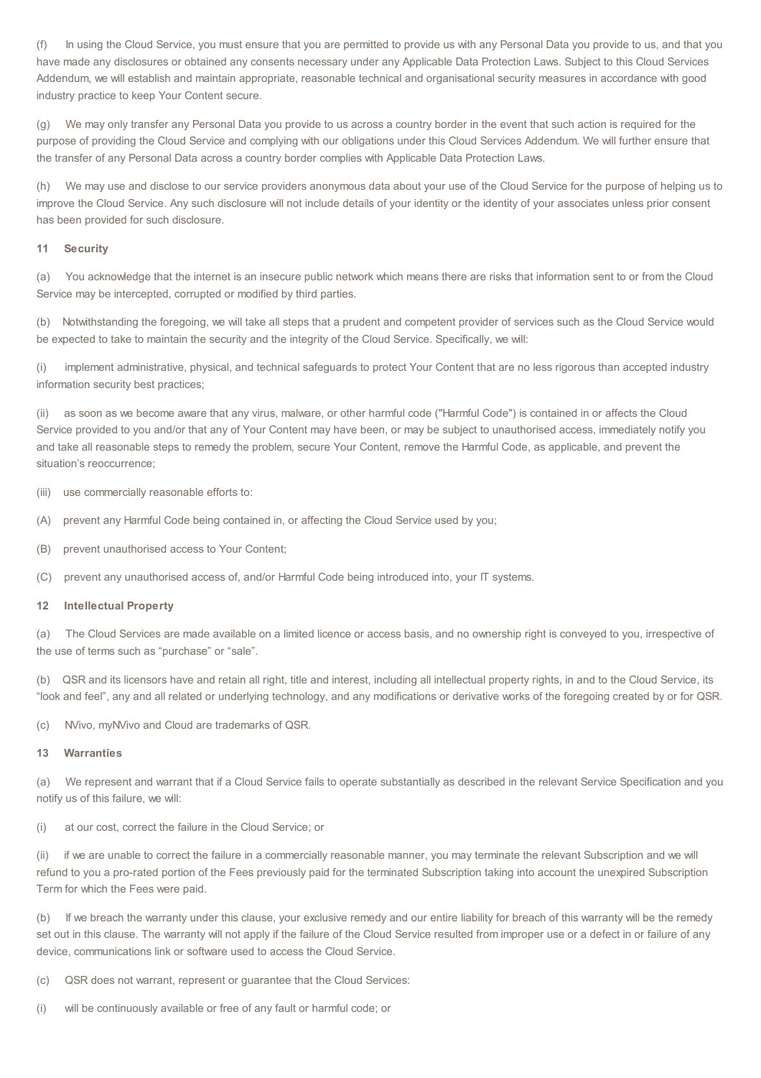(f) In using the Cloud Service, you must ensure that you are permitted to provide us with any Personal Data you provide to us, and that you have made any disclosures or obtained any consents necessary under any Applicable Data Protection Laws. Subject to this Cloud Services Addendum, we will establish and maintain appropriate, reasonable technical and organisational security measures in accordance with good industry practice to keep Your Content secure.

(g) We may only transfer any Personal Data you provide to us across a country border in the event that such action is required for the purpose of providing the Cloud Service and complying with our obligations under this Cloud Services Addendum. We will further ensure that the transfer of any Personal Data across a country border complies with Applicable Data Protection Laws.

(h) We may use and disclose to our service providers anonymous data about your use of the Cloud Service for the purpose of helping us to improve the Cloud Service. Any such disclosure will not include details of your identity or the identity of your associates unless prior consent has been provided for such disclosure.

#### **11 Security**

(a) You acknowledge that the internet is an insecure public network which means there are risks that information sent to or from the Cloud Service may be intercepted, corrupted or modified by third parties.

(b) Notwithstanding the foregoing, we will take all steps that a prudent and competent provider of services such as the Cloud Service would be expected to take to maintain the security and the integrity of the Cloud Service. Specifically, we will:

(i) implement administrative, physical, and technical safeguards to protect Your Content that are no less rigorous than accepted industry information security best practices;

(ii) as soon as we become aware that any virus, malware, or other harmful code ("Harmful Code") is contained in or affects the Cloud Service provided to you and/or that any of Your Content may have been, or may be subject to unauthorised access, immediately notify you and take all reasonable steps to remedy the problem, secure Your Content, remove the Harmful Code, as applicable, and prevent the situation's reoccurrence;

(iii) use commercially reasonable efforts to:

- (A) prevent any Harmful Code being contained in, or affecting the Cloud Service used by you;
- (B) prevent unauthorised access to Your Content;
- (C) prevent any unauthorised access of, and/or Harmful Code being introduced into, your IT systems.

#### **12 Intellectual Property**

(a) The Cloud Services are made available on a limited licence or access basis, and no ownership right is conveyed to you, irrespective of the use of terms such as "purchase" or "sale".

(b) QSR and its licensors have and retain all right, title and interest, including all intellectual property rights, in and to the Cloud Service, its "look and feel", any and all related or underlying technology, and any modifications or derivative works of the foregoing created by or for QSR.

(c) NVivo, myNVivo and Cloud are trademarks of QSR.

#### **13 Warranties**

(a) We represent and warrant that if a Cloud Service fails to operate substantially as described in the relevant Service Specification and you notify us of this failure, we will:

(i) at our cost, correct the failure in the Cloud Service; or

(ii) if we are unable to correct the failure in a commercially reasonable manner, you may terminate the relevant Subscription and we will refund to you a pro-rated portion of the Fees previously paid for the terminated Subscription taking into account the unexpired Subscription Term for which the Fees were paid.

(b) If we breach the warranty under this clause, your exclusive remedy and our entire liability for breach of this warranty will be the remedy set out in this clause. The warranty will not apply if the failure of the Cloud Service resulted from improper use or a defect in or failure of any device, communications link or software used to access the Cloud Service.

- (c) QSR does not warrant, represent or guarantee that the Cloud Services:
- (i) will be continuously available or free of any fault or harmful code; or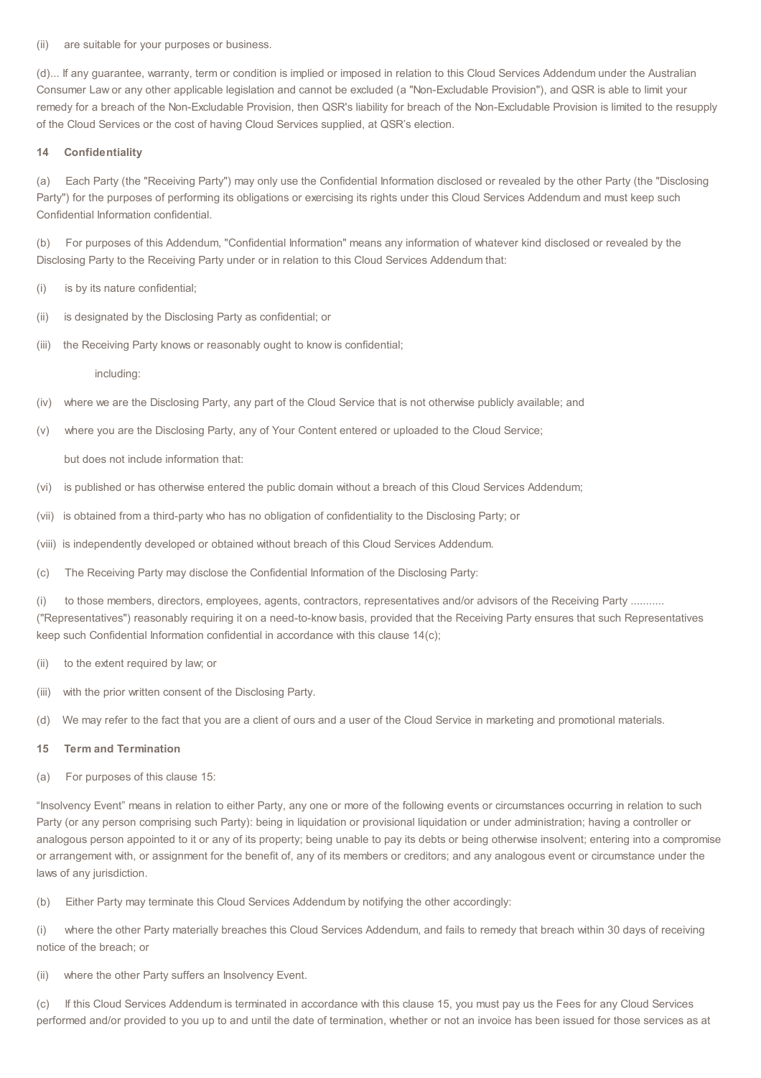(ii) are suitable for your purposes or business.

(d)... If any guarantee, warranty, term or condition is implied or imposed in relation to this Cloud Services Addendum under the Australian Consumer Law or any other applicable legislation and cannot be excluded (a "Non-Excludable Provision"), and QSR is able to limit your remedy for a breach of the Non-Excludable Provision, then QSR's liability for breach of the Non-Excludable Provision is limited to the resupply of the Cloud Services or the cost of having Cloud Services supplied, at QSR's election.

#### **14 Confidentiality**

(a) Each Party (the "Receiving Party") may only use the Confidential Information disclosed or revealed by the other Party (the "Disclosing Party") for the purposes of performing its obligations or exercising its rights under this Cloud Services Addendum and must keep such Confidential Information confidential.

(b) For purposes of this Addendum, "Confidential Information" means any information of whatever kind disclosed or revealed by the Disclosing Party to the Receiving Party under or in relation to this Cloud Services Addendum that:

(i) is by its nature confidential;

- (ii) is designated by the Disclosing Party as confidential; or
- (iii) the Receiving Party knows or reasonably ought to know is confidential;

including:

- (iv) where we are the Disclosing Party, any part of the Cloud Service that is not otherwise publicly available; and
- (v) where you are the Disclosing Party, any of Your Content entered or uploaded to the Cloud Service;

but does not include information that:

- (vi) is published or has otherwise entered the public domain without a breach of this Cloud Services Addendum;
- (vii) is obtained from a third-party who has no obligation of confidentiality to the Disclosing Party; or
- (viii) is independently developed or obtained without breach of this Cloud Services Addendum.
- (c) The Receiving Party may disclose the Confidential Information of the Disclosing Party:

(i) to those members, directors, employees, agents, contractors, representatives and/or advisors of the Receiving Party .......... ("Representatives") reasonably requiring it on a need-to-know basis, provided that the Receiving Party ensures that such Representatives keep such Confidential Information confidential in accordance with this clause 14(c);

- (ii) to the extent required by law; or
- (iii) with the prior written consent of the Disclosing Party.
- (d) We may refer to the fact that you are a client of ours and a user of the Cloud Service in marketing and promotional materials.

#### **15 Term and Termination**

(a) For purposes of this clause 15:

"Insolvency Event" means in relation to either Party, any one or more of the following events or circumstances occurring in relation to such Party (or any person comprising such Party): being in liquidation or provisional liquidation or under administration; having a controller or analogous person appointed to it or any of its property; being unable to pay its debts or being otherwise insolvent; entering into a compromise or arrangement with, or assignment for the benefit of, any of its members or creditors; and any analogous event or circumstance under the laws of any jurisdiction.

(b) Either Party may terminate this Cloud Services Addendum by notifying the other accordingly:

(i) where the other Party materially breaches this Cloud Services Addendum, and fails to remedy that breach within 30 days of receiving notice of the breach; or

(ii) where the other Party suffers an Insolvency Event.

(c) If this Cloud Services Addendum is terminated in accordance with this clause 15, you must pay us the Fees for any Cloud Services performed and/or provided to you up to and until the date of termination, whether or not an invoice has been issued for those services as at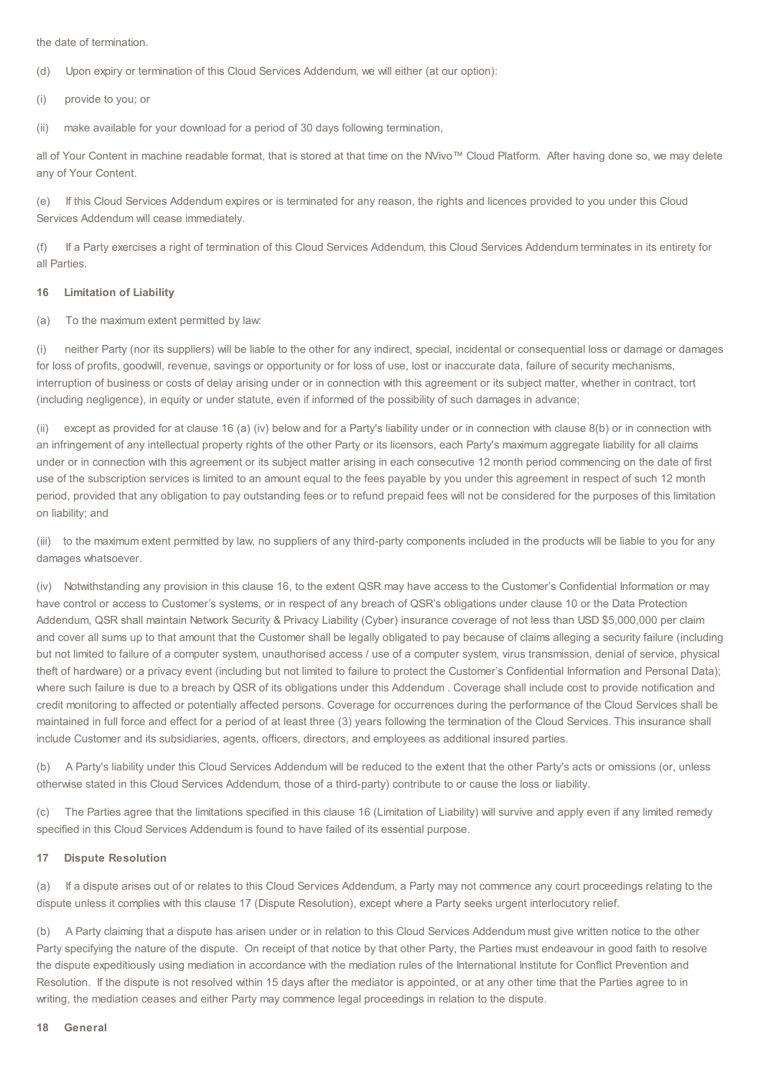the date of termination.

(d) Upon expiry or termination of this Cloud Services Addendum, we will either (at our option):

(i) provide to you; or

(ii) make available for your download for a period of 30 days following termination,

all of Your Content in machine readable format, that is stored at that time on the NVivo™ Cloud Platform. After having done so, we may delete any of Your Content.

(e) If this Cloud Services Addendum expires or is terminated for any reason, the rights and licences provided to you under this Cloud Services Addendum will cease immediately.

(f) If a Party exercises a right of termination of this Cloud Services Addendum, this Cloud Services Addendum terminates in its entirety for all Parties.

#### **16 Limitation of Liability**

(a) To the maximum extent permitted by law:

(i) neither Party (nor its suppliers) will be liable to the other for any indirect, special, incidental or consequential loss or damage or damages for loss of profits, goodwill, revenue, savings or opportunity or for loss of use, lost or inaccurate data, failure of security mechanisms, interruption of business or costs of delay arising under or in connection with this agreement or its subject matter, whether in contract, tort (including negligence), in equity or under statute, even if informed of the possibility of such damages in advance;

(ii) except as provided for at clause 16 (a) (iv) below and for a Party's liability under or in connection with clause 8(b) or in connection with an infringement of any intellectual property rights of the other Party or its licensors, each Party's maximum aggregate liability for all claims under or in connection with this agreement or its subject matter arising in each consecutive 12 month period commencing on the date of first use of the subscription services is limited to an amount equal to the fees payable by you under this agreement in respect of such 12 month period, provided that any obligation to pay outstanding fees or to refund prepaid fees will not be considered for the purposes of this limitation on liability; and

(iii) to the maximum extent permitted by law, no suppliers of any third-party components included in the products will be liable to you for any damages whatsoever.

(iv) Notwithstanding any provision in this clause 16, to the extent QSR may have access to the Customer's Confidential Information or may have control or access to Customer's systems, or in respect of any breach of QSR's obligations under clause 10 or the Data Protection Addendum, QSR shall maintain Network Security & Privacy Liability (Cyber) insurance coverage of not less than USD \$5,000,000 per claim and cover all sums up to that amount that the Customer shall be legally obligated to pay because of claims alleging a security failure (including but not limited to failure of a computer system, unauthorised access / use of a computer system, virus transmission, denial of service, physical theft of hardware) or a privacy event (including but not limited to failure to protect the Customer's Confidential Information and Personal Data); where such failure is due to a breach by QSR of its obligations under this Addendum . Coverage shall include cost to provide notification and credit monitoring to affected or potentially affected persons. Coverage for occurrences during the performance of the Cloud Services shall be maintained in full force and effect for a period of at least three (3) years following the termination of the Cloud Services. This insurance shall include Customer and its subsidiaries, agents, officers, directors, and employees as additional insured parties.

(b) A Party's liability under this Cloud Services Addendum will be reduced to the extent that the other Party's acts or omissions (or, unless otherwise stated in this Cloud Services Addendum, those of a third-party) contribute to or cause the loss or liability.

(c) The Parties agree that the limitations specified in this clause 16 (Limitation of Liability) will survive and apply even if any limited remedy specified in this Cloud Services Addendum is found to have failed of its essential purpose.

#### **17 Dispute Resolution**

(a) If a dispute arises out of or relates to this Cloud Services Addendum, a Party may not commence any court proceedings relating to the dispute unless it complies with this clause 17 (Dispute Resolution), except where a Party seeks urgent interlocutory relief.

(b) A Party claiming that a dispute has arisen under or in relation to this Cloud Services Addendum must give written notice to the other Party specifying the nature of the dispute. On receipt of that notice by that other Party, the Parties must endeavour in good faith to resolve the dispute expeditiously using mediation in accordance with the mediation rules of the International Institute for Conflict Prevention and Resolution. If the dispute is not resolved within 15 days after the mediator is appointed, or at any other time that the Parties agree to in writing, the mediation ceases and either Party may commence legal proceedings in relation to the dispute.